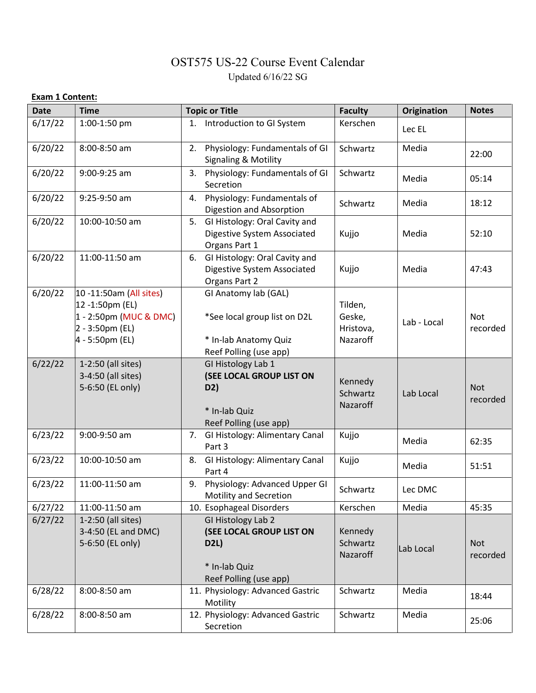## OST575 US-22 Course Event Calendar Updated 6/16/22 SG

## **Exam 1 Content:**

| <b>Date</b> | <b>Time</b>                                                                                                | <b>Topic or Title</b>                                                                                   | <b>Faculty</b>                             | Origination | <b>Notes</b>           |
|-------------|------------------------------------------------------------------------------------------------------------|---------------------------------------------------------------------------------------------------------|--------------------------------------------|-------------|------------------------|
| 6/17/22     | 1:00-1:50 pm                                                                                               | 1. Introduction to GI System                                                                            | Kerschen                                   | Lec EL      |                        |
| 6/20/22     | 8:00-8:50 am                                                                                               | 2. Physiology: Fundamentals of GI<br><b>Signaling &amp; Motility</b>                                    | Schwartz                                   | Media       | 22:00                  |
| 6/20/22     | 9:00-9:25 am                                                                                               | Physiology: Fundamentals of GI<br>3.<br>Secretion                                                       | Schwartz                                   | Media       | 05:14                  |
| 6/20/22     | 9:25-9:50 am                                                                                               | Physiology: Fundamentals of<br>4.<br>Digestion and Absorption                                           | Schwartz                                   | Media       | 18:12                  |
| 6/20/22     | 10:00-10:50 am                                                                                             | 5. GI Histology: Oral Cavity and<br>Digestive System Associated<br>Organs Part 1                        | Kujjo                                      | Media       | 52:10                  |
| 6/20/22     | 11:00-11:50 am                                                                                             | 6. GI Histology: Oral Cavity and<br>Digestive System Associated<br>Organs Part 2                        | Kujjo                                      | Media       | 47:43                  |
| 6/20/22     | 10 -11:50am (All sites)<br>12 -1:50pm (EL)<br>1 - 2:50pm (MUC & DMC)<br>2 - 3:50pm (EL)<br>4 - 5:50pm (EL) | GI Anatomy lab (GAL)<br>*See local group list on D2L<br>* In-lab Anatomy Quiz<br>Reef Polling (use app) | Tilden,<br>Geske,<br>Hristova,<br>Nazaroff | Lab - Local | <b>Not</b><br>recorded |
| 6/22/22     | 1-2:50 (all sites)<br>3-4:50 (all sites)<br>5-6:50 (EL only)                                               | GI Histology Lab 1<br>(SEE LOCAL GROUP LIST ON<br>D2)<br>* In-lab Quiz<br>Reef Polling (use app)        | Kennedy<br>Schwartz<br>Nazaroff            | Lab Local   | <b>Not</b><br>recorded |
| 6/23/22     | 9:00-9:50 am                                                                                               | 7. GI Histology: Alimentary Canal<br>Part 3                                                             | Kujjo                                      | Media       | 62:35                  |
| 6/23/22     | 10:00-10:50 am                                                                                             | GI Histology: Alimentary Canal<br>8.<br>Part 4                                                          | Kujjo                                      | Media       | 51:51                  |
| 6/23/22     | 11:00-11:50 am                                                                                             | Physiology: Advanced Upper GI<br>9.<br>Motility and Secretion                                           | Schwartz                                   | Lec DMC     |                        |
| 6/27/22     | 11:00-11:50 am                                                                                             | 10. Esophageal Disorders                                                                                | Kerschen                                   | Media       | 45:35                  |
| 6/27/22     | 1-2:50 (all sites)<br>3-4:50 (EL and DMC)<br>5-6:50 (EL only)                                              | GI Histology Lab 2<br>(SEE LOCAL GROUP LIST ON<br><b>D2L)</b>                                           | Kennedy<br>Schwartz<br>Nazaroff            | Lab Local   | <b>Not</b><br>recorded |
|             |                                                                                                            | * In-lab Quiz<br>Reef Polling (use app)                                                                 |                                            |             |                        |
| 6/28/22     | 8:00-8:50 am                                                                                               | 11. Physiology: Advanced Gastric<br>Motility                                                            | Schwartz                                   | Media       | 18:44                  |
| 6/28/22     | 8:00-8:50 am                                                                                               | 12. Physiology: Advanced Gastric<br>Secretion                                                           | Schwartz                                   | Media       | 25:06                  |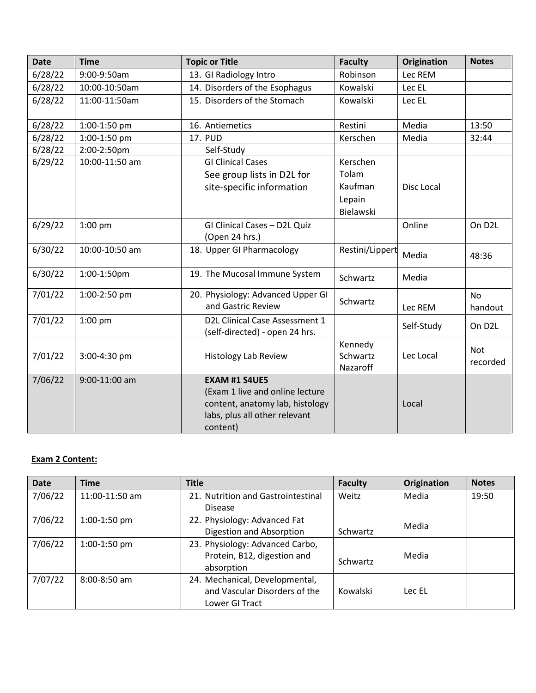| <b>Date</b> | <b>Time</b>    | <b>Topic or Title</b>                                            | <b>Faculty</b>                  | Origination | <b>Notes</b>           |
|-------------|----------------|------------------------------------------------------------------|---------------------------------|-------------|------------------------|
| 6/28/22     | 9:00-9:50am    | 13. GI Radiology Intro                                           | Robinson                        | Lec REM     |                        |
| 6/28/22     | 10:00-10:50am  | 14. Disorders of the Esophagus                                   | Kowalski                        | Lec EL      |                        |
| 6/28/22     | 11:00-11:50am  | 15. Disorders of the Stomach                                     | Kowalski                        | Lec EL      |                        |
| 6/28/22     | 1:00-1:50 pm   | 16. Antiemetics                                                  | Restini                         | Media       | 13:50                  |
| 6/28/22     | 1:00-1:50 pm   | <b>17. PUD</b>                                                   | Kerschen                        | Media       | 32:44                  |
| 6/28/22     | 2:00-2:50pm    | Self-Study                                                       |                                 |             |                        |
| 6/29/22     | 10:00-11:50 am | <b>GI Clinical Cases</b>                                         | Kerschen                        |             |                        |
|             |                | See group lists in D2L for                                       | Tolam                           |             |                        |
|             |                | site-specific information                                        | Kaufman                         | Disc Local  |                        |
|             |                |                                                                  | Lepain                          |             |                        |
|             |                |                                                                  | Bielawski                       |             |                        |
| 6/29/22     | 1:00 pm        | GI Clinical Cases - D2L Quiz                                     |                                 | Online      | On D <sub>2</sub> L    |
|             |                | (Open 24 hrs.)                                                   |                                 |             |                        |
| 6/30/22     | 10:00-10:50 am | 18. Upper GI Pharmacology                                        | Restini/Lippert                 | Media       | 48:36                  |
| 6/30/22     | 1:00-1:50pm    | 19. The Mucosal Immune System                                    | Schwartz                        | Media       |                        |
| 7/01/22     | 1:00-2:50 pm   | 20. Physiology: Advanced Upper GI<br>and Gastric Review          | Schwartz                        | Lec REM     | <b>No</b><br>handout   |
| 7/01/22     | $1:00$ pm      | D2L Clinical Case Assessment 1<br>(self-directed) - open 24 hrs. |                                 | Self-Study  | On D <sub>2</sub> L    |
| 7/01/22     | 3:00-4:30 pm   | <b>Histology Lab Review</b>                                      | Kennedy<br>Schwartz<br>Nazaroff | Lec Local   | <b>Not</b><br>recorded |
| 7/06/22     | 9:00-11:00 am  | <b>EXAM #1 S4UE5</b>                                             |                                 |             |                        |
|             |                | (Exam 1 live and online lecture                                  |                                 |             |                        |
|             |                | content, anatomy lab, histology                                  |                                 | Local       |                        |
|             |                | labs, plus all other relevant                                    |                                 |             |                        |
|             |                | content)                                                         |                                 |             |                        |

## **Exam 2 Content:**

| <b>Date</b> | <b>Time</b>      | <b>Title</b>                       | <b>Faculty</b> | <b>Origination</b> | <b>Notes</b> |
|-------------|------------------|------------------------------------|----------------|--------------------|--------------|
| 7/06/22     | $11:00-11:50$ am | 21. Nutrition and Gastrointestinal | Weitz          | Media              | 19:50        |
|             |                  | <b>Disease</b>                     |                |                    |              |
| 7/06/22     | 1:00-1:50 pm     | 22. Physiology: Advanced Fat       |                | Media              |              |
|             |                  | Digestion and Absorption           | Schwartz       |                    |              |
| 7/06/22     | 1:00-1:50 pm     | 23. Physiology: Advanced Carbo,    |                |                    |              |
|             |                  | Protein, B12, digestion and        | Schwartz       | Media              |              |
|             |                  | absorption                         |                |                    |              |
| 7/07/22     | $8:00 - 8:50$ am | 24. Mechanical, Developmental,     |                |                    |              |
|             |                  | and Vascular Disorders of the      | Kowalski       | Lec EL             |              |
|             |                  | Lower GI Tract                     |                |                    |              |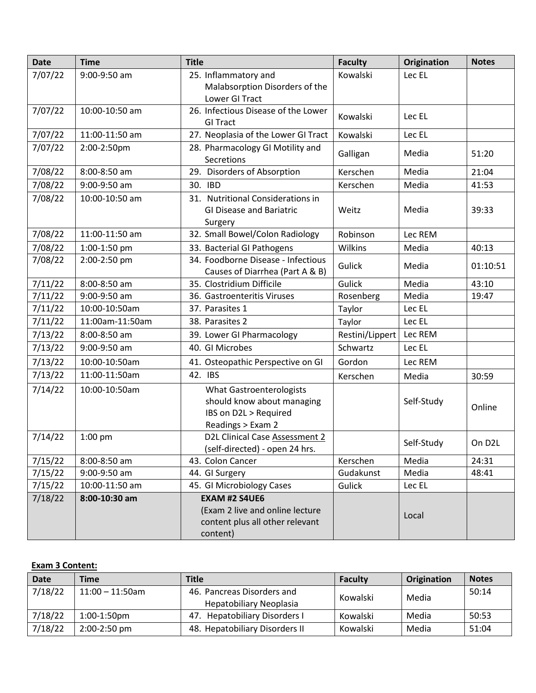| <b>Date</b> | <b>Time</b>     | <b>Title</b>                                                                                                | <b>Faculty</b>  | Origination | <b>Notes</b>        |
|-------------|-----------------|-------------------------------------------------------------------------------------------------------------|-----------------|-------------|---------------------|
| 7/07/22     | 9:00-9:50 am    | 25. Inflammatory and                                                                                        | Kowalski        | Lec EL      |                     |
|             |                 | Malabsorption Disorders of the<br>Lower GI Tract                                                            |                 |             |                     |
| 7/07/22     | 10:00-10:50 am  | 26. Infectious Disease of the Lower                                                                         |                 |             |                     |
|             |                 | <b>GI Tract</b>                                                                                             | Kowalski        | Lec EL      |                     |
| 7/07/22     | 11:00-11:50 am  | 27. Neoplasia of the Lower GI Tract                                                                         | Kowalski        | Lec EL      |                     |
| 7/07/22     | 2:00-2:50pm     | 28. Pharmacology GI Motility and<br>Secretions                                                              | Galligan        | Media       | 51:20               |
| 7/08/22     | 8:00-8:50 am    | 29. Disorders of Absorption                                                                                 | Kerschen        | Media       | 21:04               |
| 7/08/22     | 9:00-9:50 am    | 30. IBD                                                                                                     | Kerschen        | Media       | 41:53               |
| 7/08/22     | 10:00-10:50 am  | 31. Nutritional Considerations in<br><b>GI Disease and Bariatric</b><br>Surgery                             | Weitz           | Media       | 39:33               |
| 7/08/22     | 11:00-11:50 am  | 32. Small Bowel/Colon Radiology                                                                             | Robinson        | Lec REM     |                     |
| 7/08/22     | 1:00-1:50 pm    | 33. Bacterial GI Pathogens                                                                                  | Wilkins         | Media       | 40:13               |
| 7/08/22     | 2:00-2:50 pm    | 34. Foodborne Disease - Infectious<br>Causes of Diarrhea (Part A & B)                                       | Gulick          | Media       | 01:10:51            |
| 7/11/22     | 8:00-8:50 am    | 35. Clostridium Difficile                                                                                   | Gulick          | Media       | 43:10               |
| 7/11/22     | 9:00-9:50 am    | 36. Gastroenteritis Viruses                                                                                 | Rosenberg       | Media       | 19:47               |
| 7/11/22     | 10:00-10:50am   | 37. Parasites 1                                                                                             | Taylor          | Lec EL      |                     |
| 7/11/22     | 11:00am-11:50am | 38. Parasites 2                                                                                             | Taylor          | Lec EL      |                     |
| 7/13/22     | 8:00-8:50 am    | 39. Lower GI Pharmacology                                                                                   | Restini/Lippert | Lec REM     |                     |
| 7/13/22     | 9:00-9:50 am    | 40. GI Microbes                                                                                             | Schwartz        | Lec EL      |                     |
| 7/13/22     | 10:00-10:50am   | 41. Osteopathic Perspective on GI                                                                           | Gordon          | Lec REM     |                     |
| 7/13/22     | 11:00-11:50am   | 42. IBS                                                                                                     | Kerschen        | Media       | 30:59               |
| 7/14/22     | 10:00-10:50am   | <b>What Gastroenterologists</b><br>should know about managing<br>IBS on D2L > Required<br>Readings > Exam 2 |                 | Self-Study  | Online              |
| 7/14/22     | 1:00 pm         | D2L Clinical Case Assessment 2<br>(self-directed) - open 24 hrs.                                            |                 | Self-Study  | On D <sub>2</sub> L |
| 7/15/22     | 8:00-8:50 am    | 43. Colon Cancer                                                                                            | Kerschen        | Media       | 24:31               |
| 7/15/22     | 9:00-9:50 am    | 44. GI Surgery                                                                                              | Gudakunst       | Media       | 48:41               |
| 7/15/22     | 10:00-11:50 am  | 45. GI Microbiology Cases                                                                                   | Gulick          | Lec EL      |                     |
| 7/18/22     | 8:00-10:30 am   | <b>EXAM #2 S4UE6</b><br>(Exam 2 live and online lecture<br>content plus all other relevant<br>content)      |                 | Local       |                     |

## **Exam 3 Content:**

| <b>Date</b> | <b>Time</b>        | <b>Title</b>                   | <b>Faculty</b> | Origination | <b>Notes</b> |
|-------------|--------------------|--------------------------------|----------------|-------------|--------------|
| 7/18/22     | $11:00 - 11:50$ am | 46. Pancreas Disorders and     | Kowalski       | Media       | 50:14        |
|             |                    | <b>Hepatobiliary Neoplasia</b> |                |             |              |
| 7/18/22     | $1:00-1:50$ pm     | 47. Hepatobiliary Disorders I  | Kowalski       | Media       | 50:53        |
| 7/18/22     | $2:00-2:50$ pm     | 48. Hepatobiliary Disorders II | Kowalski       | Media       | 51:04        |